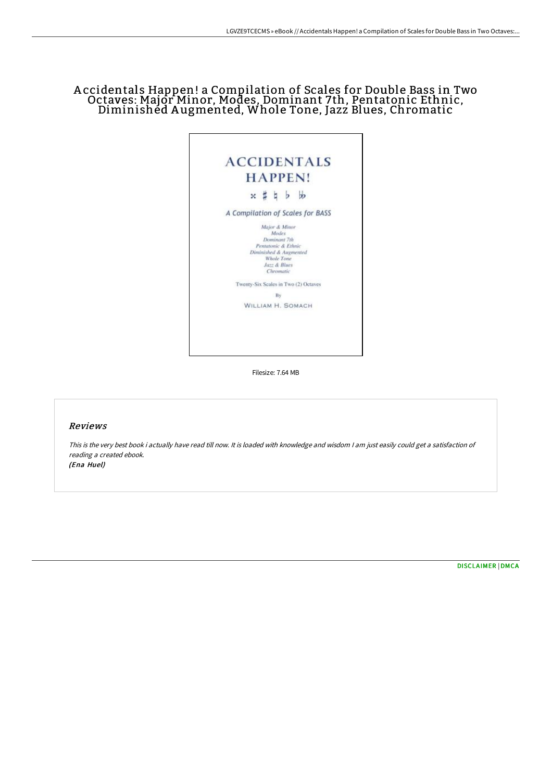# A ccidentals Happen! a Compilation of Scales for Double Bass in Two Octaves: Major Minor, Modes, Dominant 7th, Pentatonic Ethnic, Diminished A ugmented, Whole Tone, Jazz Blues, Chromatic



Filesize: 7.64 MB

## Reviews

This is the very best book i actually have read till now. It is loaded with knowledge and wisdom <sup>I</sup> am just easily could get <sup>a</sup> satisfaction of reading <sup>a</sup> created ebook. (Ena Huel)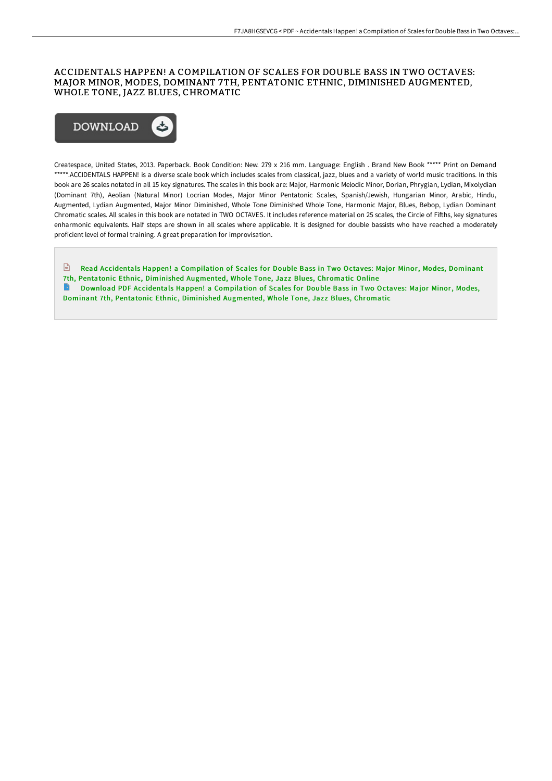### ACCIDENTALS HAPPEN! A COMPILATION OF SCALES FOR DOUBLE BASS IN TWO OCTAVES: MAJOR MINOR, MODES, DOMINANT 7TH, PENTATONIC ETHNIC, DIMINISHED AUGMENTED, WHOLE TONE, JAZZ BLUES, CHROMATIC



Createspace, United States, 2013. Paperback. Book Condition: New. 279 x 216 mm. Language: English . Brand New Book \*\*\*\*\* Print on Demand \*\*\*\*\*.ACCIDENTALS HAPPEN! is a diverse scale book which includes scales from classical, jazz, blues and a variety of world music traditions. In this book are 26 scales notated in all 15 key signatures. The scales in this book are: Major, Harmonic Melodic Minor, Dorian, Phrygian, Lydian, Mixolydian (Dominant 7th), Aeolian (Natural Minor) Locrian Modes, Major Minor Pentatonic Scales, Spanish/Jewish, Hungarian Minor, Arabic, Hindu, Augmented, Lydian Augmented, Major Minor Diminished, Whole Tone Diminished Whole Tone, Harmonic Major, Blues, Bebop, Lydian Dominant Chromatic scales. All scales in this book are notated in TWO OCTAVES. It includes reference material on 25 scales, the Circle of Fifths, key signatures enharmonic equivalents. Half steps are shown in all scales where applicable. It is designed for double bassists who have reached a moderately proficient level of formal training. A great preparation for improvisation.

Read Accidentals Happen! a [Compilation](http://techno-pub.tech/accidentals-happen-a-compilation-of-scales-for-d.html) of Scales for Double Bass in Two Octaves: Major Minor, Modes, Dominant 7th, Pentatonic Ethnic, Diminished Augmented, Whole Tone, Jazz Blues, Chromatic Online Download PDF Accidentals Happen! a [Compilation](http://techno-pub.tech/accidentals-happen-a-compilation-of-scales-for-d.html) of Scales for Double Bass in Two Octaves: Major Minor, Modes, Dominant 7th, Pentatonic Ethnic, Diminished Augmented, Whole Tone, Jazz Blues, Chromatic